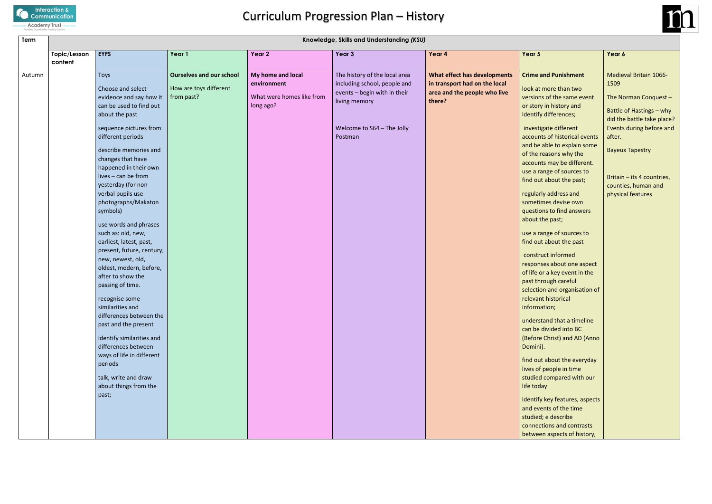

# Curriculum Progression Plan – History

| Term   | Knowledge, Skills and Understanding (KSU) |                           |                                 |                           |                               |                               |                                                      |                            |
|--------|-------------------------------------------|---------------------------|---------------------------------|---------------------------|-------------------------------|-------------------------------|------------------------------------------------------|----------------------------|
|        | Topic/Lesson                              | <b>EYFS</b>               | Year 1                          | Year 2                    | Year 3                        | Year 4                        | Year 5                                               | Year 6                     |
|        | content                                   |                           |                                 |                           |                               |                               |                                                      |                            |
| Autumn |                                           | Toys                      | <b>Ourselves and our school</b> | My home and local         | The history of the local area | What effect has developments  | <b>Crime and Punishment</b>                          | Medieval Britain 1066-     |
|        |                                           | Choose and select         | How are toys different          | environment               | including school, people and  | in transport had on the local | look at more than two                                | 1509                       |
|        |                                           | evidence and say how it   | from past?                      | What were homes like from | events - begin with in their  | area and the people who live  | versions of the same event                           | The Norman Conquest -      |
|        |                                           | can be used to find out   |                                 | long ago?                 | living memory                 | there?                        | or story in history and                              |                            |
|        |                                           | about the past            |                                 |                           |                               |                               | identify differences;                                | Battle of Hastings - why   |
|        |                                           |                           |                                 |                           |                               |                               |                                                      | did the battle take place? |
|        |                                           | sequence pictures from    |                                 |                           | Welcome to S64 - The Jolly    |                               | investigate different                                | Events during before and   |
|        |                                           | different periods         |                                 |                           | Postman                       |                               | accounts of historical events                        | after.                     |
|        |                                           | describe memories and     |                                 |                           |                               |                               | and be able to explain some                          | <b>Bayeux Tapestry</b>     |
|        |                                           | changes that have         |                                 |                           |                               |                               | of the reasons why the<br>accounts may be different. |                            |
|        |                                           | happened in their own     |                                 |                           |                               |                               | use a range of sources to                            |                            |
|        |                                           | lives - can be from       |                                 |                           |                               |                               | find out about the past;                             | Britain - its 4 countries, |
|        |                                           | yesterday (for non        |                                 |                           |                               |                               |                                                      | counties, human and        |
|        |                                           | verbal pupils use         |                                 |                           |                               |                               | regularly address and                                | physical features          |
|        |                                           | photographs/Makaton       |                                 |                           |                               |                               | sometimes devise own                                 |                            |
|        |                                           | symbols)                  |                                 |                           |                               |                               | questions to find answers                            |                            |
|        |                                           | use words and phrases     |                                 |                           |                               |                               | about the past;                                      |                            |
|        |                                           | such as: old, new,        |                                 |                           |                               |                               | use a range of sources to                            |                            |
|        |                                           | earliest, latest, past,   |                                 |                           |                               |                               | find out about the past                              |                            |
|        |                                           | present, future, century, |                                 |                           |                               |                               | construct informed                                   |                            |
|        |                                           | new, newest, old,         |                                 |                           |                               |                               | responses about one aspect                           |                            |
|        |                                           | oldest, modern, before,   |                                 |                           |                               |                               | of life or a key event in the                        |                            |
|        |                                           | after to show the         |                                 |                           |                               |                               | past through careful                                 |                            |
|        |                                           | passing of time.          |                                 |                           |                               |                               | selection and organisation of                        |                            |
|        |                                           | recognise some            |                                 |                           |                               |                               | relevant historical                                  |                            |
|        |                                           | similarities and          |                                 |                           |                               |                               | information;                                         |                            |
|        |                                           | differences between the   |                                 |                           |                               |                               |                                                      |                            |
|        |                                           | past and the present      |                                 |                           |                               |                               | understand that a timeline<br>can be divided into BC |                            |
|        |                                           | identify similarities and |                                 |                           |                               |                               | (Before Christ) and AD (Anno                         |                            |
|        |                                           | differences between       |                                 |                           |                               |                               | Domini).                                             |                            |
|        |                                           | ways of life in different |                                 |                           |                               |                               |                                                      |                            |
|        |                                           | periods                   |                                 |                           |                               |                               | find out about the everyday                          |                            |
|        |                                           |                           |                                 |                           |                               |                               | lives of people in time                              |                            |
|        |                                           | talk, write and draw      |                                 |                           |                               |                               | studied compared with our                            |                            |
|        |                                           | about things from the     |                                 |                           |                               |                               | life today                                           |                            |
|        |                                           | past;                     |                                 |                           |                               |                               | identify key features, aspects                       |                            |
|        |                                           |                           |                                 |                           |                               |                               | and events of the time                               |                            |
|        |                                           |                           |                                 |                           |                               |                               | studied; e describe                                  |                            |
|        |                                           |                           |                                 |                           |                               |                               | connections and contrasts                            |                            |
|        |                                           |                           |                                 |                           |                               |                               | between aspects of history,                          |                            |

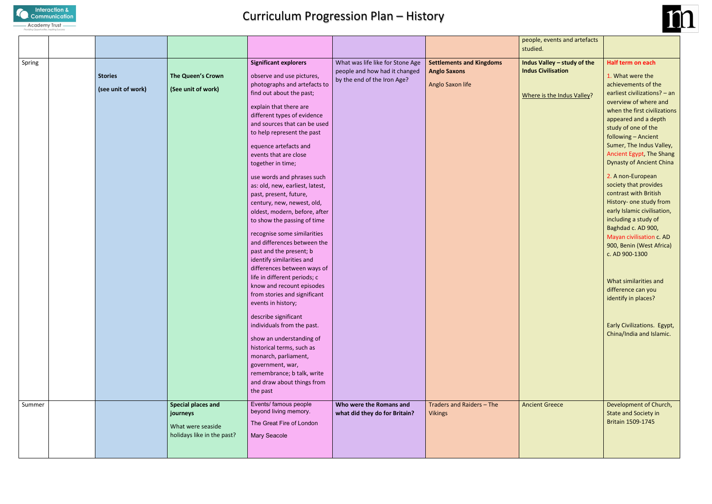

### Curriculum Progression Plan – History

|          | people, events and artefacts |  |
|----------|------------------------------|--|
| studied. |                              |  |
|          |                              |  |

**INalley – study of the Civilisation** 

e is the Indus Valley?

|        |                                      |                                                                                          |                                                                                                                                                                                                                                                                      |                                                                                                  |                                                                            | people,<br>studied.                           |
|--------|--------------------------------------|------------------------------------------------------------------------------------------|----------------------------------------------------------------------------------------------------------------------------------------------------------------------------------------------------------------------------------------------------------------------|--------------------------------------------------------------------------------------------------|----------------------------------------------------------------------------|-----------------------------------------------|
| Spring | <b>Stories</b><br>(see unit of work) | The Queen's Crown<br>(See unit of work)                                                  | <b>Significant explorers</b><br>observe and use pictures,<br>photographs and artefacts to<br>find out about the past;<br>explain that there are<br>different types of evidence<br>and sources that can be used                                                       | What was life like for Stone Age<br>people and how had it changed<br>by the end of the Iron Age? | <b>Settlements and Kingdoms</b><br><b>Anglo Saxons</b><br>Anglo Saxon life | <b>Indus Va</b><br><b>Indus Ci</b><br>Where i |
|        |                                      |                                                                                          | to help represent the past<br>equence artefacts and<br>events that are close<br>together in time;                                                                                                                                                                    |                                                                                                  |                                                                            |                                               |
|        |                                      |                                                                                          | use words and phrases such<br>as: old, new, earliest, latest,<br>past, present, future,<br>century, new, newest, old,<br>oldest, modern, before, after<br>to show the passing of time                                                                                |                                                                                                  |                                                                            |                                               |
|        |                                      |                                                                                          | recognise some similarities<br>and differences between the<br>past and the present; b<br>identify similarities and<br>differences between ways of<br>life in different periods; c<br>know and recount episodes<br>from stories and significant<br>events in history; |                                                                                                  |                                                                            |                                               |
|        |                                      |                                                                                          | describe significant<br>individuals from the past.<br>show an understanding of<br>historical terms, such as<br>monarch, parliament,<br>government, war,<br>remembrance; b talk, write<br>and draw about things from<br>the past                                      |                                                                                                  |                                                                            |                                               |
| Summer |                                      | <b>Special places and</b><br>journeys<br>What were seaside<br>holidays like in the past? | Events/ famous people<br>beyond living memory.<br>The Great Fire of London<br><b>Mary Seacole</b>                                                                                                                                                                    | Who were the Romans and<br>what did they do for Britain?                                         | Traders and Raiders - The<br><b>Vikings</b>                                | Ancient                                       |



nt Greece **Development of Church**, State and Society in Britain 1509-1745

#### **Half term on each**

1. What were the achievements of the earliest civilizations? – an overview of where and when the first civilizations appeared and a depth study of one of the following – Ancient Sumer, The Indus Valley, Ancient Egypt, The Shang Dynasty of Ancient China

2. A non-European society that provides contrast with British History- one study from early Islamic civilisation, including a study of Baghdad c. AD 900, Mayan civilisation c. AD 900, Benin (West Africa) c. AD 900-1300

What similarities and difference can you identify in places?

Early Civilizations. Egypt, China/India and Islamic.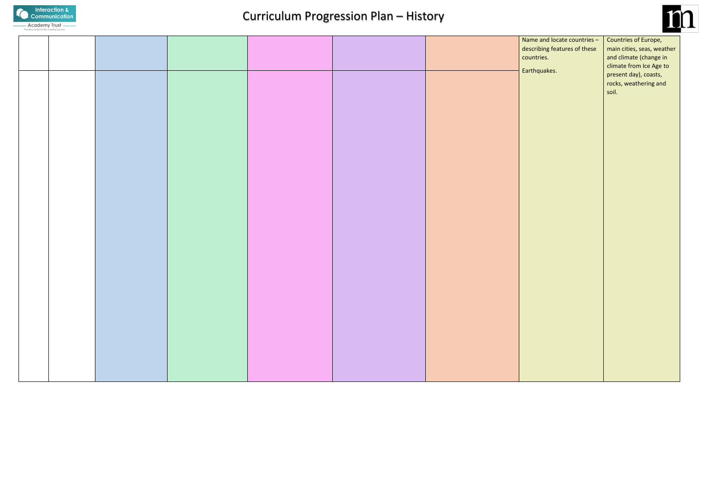

## Curriculum Progression Plan – History

|  |  |  | Name   |
|--|--|--|--------|
|  |  |  | descri |
|  |  |  | count  |
|  |  |  | Earth  |
|  |  |  |        |
|  |  |  |        |
|  |  |  |        |
|  |  |  |        |
|  |  |  |        |
|  |  |  |        |
|  |  |  |        |
|  |  |  |        |
|  |  |  |        |
|  |  |  |        |
|  |  |  |        |
|  |  |  |        |
|  |  |  |        |
|  |  |  |        |
|  |  |  |        |
|  |  |  |        |
|  |  |  |        |
|  |  |  |        |
|  |  |  |        |
|  |  |  |        |
|  |  |  |        |
|  |  |  |        |
|  |  |  |        |
|  |  |  |        |
|  |  |  |        |
|  |  |  |        |
|  |  |  |        |
|  |  |  |        |
|  |  |  |        |
|  |  |  |        |
|  |  |  |        |
|  |  |  |        |
|  |  |  |        |
|  |  |  |        |
|  |  |  |        |
|  |  |  |        |



and locate countries – ribing features of these ries.

quakes.

Countries of Europe, main cities, seas, weather and climate (change in climate from Ice Age to present day), coasts, rocks, weathering and soil.